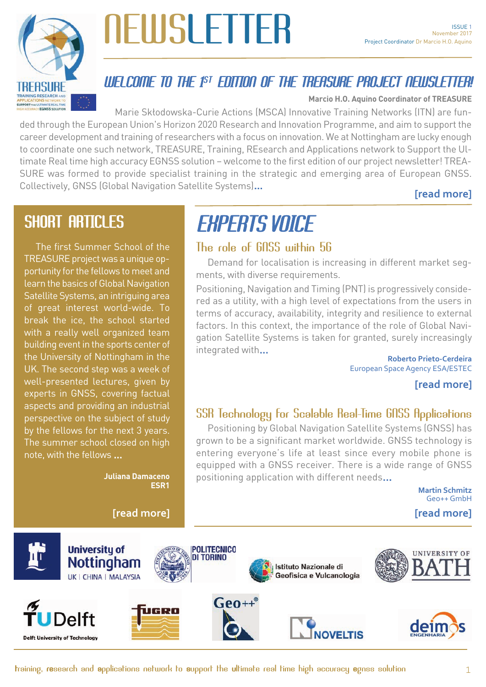

# **NEWSLETTER**

### WELCOME TO THE 1 ST EDITION OF THE TREASURE PROJECT NEWSLETTER!

**Marcio H.O. Aquino Coordinator of TREASURE**

Marie Skłodowska-Curie Actions (MSCA) Innovative Training Networks (ITN) are funded through the European Union's Horizon 2020 Research and Innovation Programme, and aim to support the career development and training of researchers with a focus on innovation. We at Nottingham are lucky enough to coordinate one such network, TREASURE, Training, REsearch and Applications network to Support the Ultimate Real time high accuracy EGNSS solution – welcome to the first edition of our project newsletter! TREA-SURE was formed to provide specialist training in the strategic and emerging area of European GNSS. Collectively, GNSS (Global Navigation Satellite Systems)...

#### **[\[read more\]](#page-1-0)**

### SHORT ARTICLES

The first Summer School of the TREASURE project was a unique opportunity for the fellows to meet and learn the basics of Global Navigation Satellite Systems, an intriguing area of great interest world-wide. To break the ice, the school started with a really well organized team building event in the sports center of the University of Nottingham in the UK. The second step was a week of well-presented lectures, given by experts in GNSS, covering factual aspects and providing an industrial perspective on the subject of study by the fellows for the next 3 years. The summer school closed on high note, with the fellows ...

> **Juliana Damaceno ESR1**

## EXPERTS VOICE

#### The role of GNSS within 5G

Demand for localisation is increasing in different market segments, with diverse requirements.

Positioning, Navigation and Timing (PNT) is progressively considered as a utility, with a high level of expectations from the users in terms of accuracy, availability, integrity and resilience to external factors. In this context, the importance of the role of Global Navigation Satellite Systems is taken for granted, surely increasingly integrated with... **Roberto Prieto-Cerdeira**

European Space Agency ESA/ESTEC

#### **[\[read more\]](#page-3-0)**

#### SSR Technology for Scalable Real-Time GNSS Applications

Positioning by Global Navigation Satellite Systems (GNSS) has grown to be a significant market worldwide. GNSS technology is entering everyone's life at least since every mobile phone is equipped with a GNSS receiver. There is a wide range of GNSS positioning application with different needs...

> **Martin Schmitz**  Geo++ GmbH

**[\[read more\]](#page-2-0) [\[read more\]](#page-4-0)**

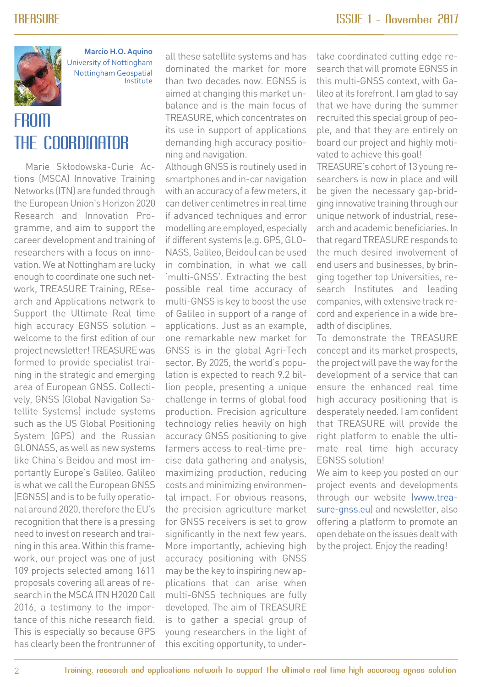<span id="page-1-0"></span>

**Marcio H.O. Aquino** University of Nottingham Nottingham Geospatial Institute

### FROM THE COORDINATOR

Marie Skłodowska-Curie Actions (MSCA) Innovative Training Networks (ITN) are funded through the European Union's Horizon 2020 Research and Innovation Programme, and aim to support the career development and training of researchers with a focus on innovation. We at Nottingham are lucky enough to coordinate one such network, TREASURE Training, REsearch and Applications network to Support the Ultimate Real time high accuracy EGNSS solution – welcome to the first edition of our project newsletter! TREASURE was formed to provide specialist training in the strategic and emerging area of European GNSS. Collectively, GNSS (Global Navigation Satellite Systems) include systems such as the US Global Positioning System (GPS) and the Russian GLONASS, as well as new systems like China's Beidou and most importantly Europe's Galileo. Galileo is what we call the European GNSS (EGNSS) and is to be fully operational around 2020, therefore the EU's recognition that there is a pressing need to invest on research and training in this area. Within this framework, our project was one of just 109 projects selected among 1611 proposals covering all areas of research in the MSCA ITN H2020 Call 2016, a testimony to the importance of this niche research field. This is especially so because GPS has clearly been the frontrunner of all these satellite systems and has dominated the market for more than two decades now. EGNSS is aimed at changing this market unbalance and is the main focus of TREASURE, which concentrates on its use in support of applications demanding high accuracy positioning and navigation.

Although GNSS is routinely used in smartphones and in-car navigation with an accuracy of a few meters, it can deliver centimetres in real time if advanced techniques and error modelling are employed, especially if different systems (e.g. GPS, GLO-NASS, Galileo, Beidou) can be used in combination, in what we call 'multi-GNSS'. Extracting the best possible real time accuracy of multi-GNSS is key to boost the use of Galileo in support of a range of applications. Just as an example, one remarkable new market for GNSS is in the global Agri-Tech sector. By 2025, the world's population is expected to reach 9.2 billion people, presenting a unique challenge in terms of global food production. Precision agriculture technology relies heavily on high accuracy GNSS positioning to give farmers access to real-time precise data gathering and analysis, maximizing production, reducing costs and minimizing environmental impact. For obvious reasons, the precision agriculture market for GNSS receivers is set to grow significantly in the next few years. More importantly, achieving high accuracy positioning with GNSS may be the key to inspiring new applications that can arise when multi-GNSS techniques are fully developed. The aim of TREASURE is to gather a special group of young researchers in the light of this exciting opportunity, to under-

take coordinated cutting edge research that will promote EGNSS in this multi-GNSS context, with Galileo at its forefront. I am glad to say that we have during the summer recruited this special group of people, and that they are entirely on board our project and highly motivated to achieve this goal!

TREASURE's cohort of 13 young researchers is now in place and will be given the necessary gap-bridging innovative training through our unique network of industrial, research and academic beneficiaries. In that regard TREASURE responds to the much desired involvement of end users and businesses, by bringing together top Universities, research Institutes and leading companies, with extensive track record and experience in a wide breadth of disciplines.

To demonstrate the TREASURE concept and its market prospects, the project will pave the way for the development of a service that can ensure the enhanced real time high accuracy positioning that is desperately needed. I am confident that TREASURE will provide the right platform to enable the ultimate real time high accuracy EGNSS solution!

We aim to keep you posted on our project events and developments through our website (www.treasure-gnss.eu) and newsletter, also offering a platform to promote an open debate on the issues dealt with by the project. Enjoy the reading!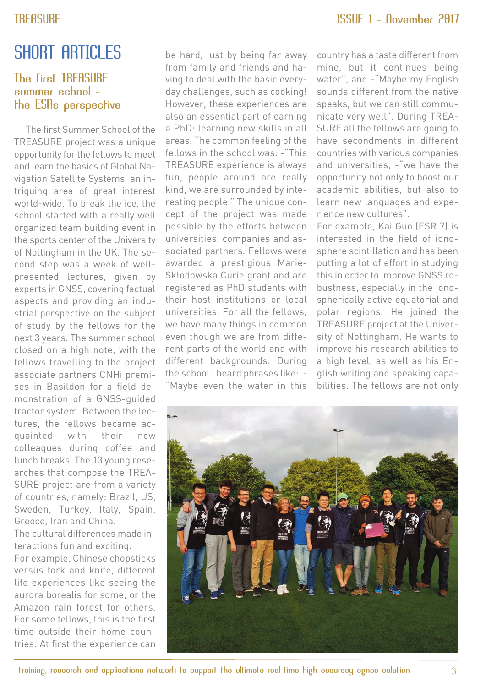### <span id="page-2-0"></span>SHORT ARTICLES

#### The first TREASURE summer school the ESRs perspective

The first Summer School of the TREASURE project was a unique opportunity for the fellows to meet and learn the basics of Global Navigation Satellite Systems, an intriguing area of great interest world-wide. To break the ice, the school started with a really well organized team building event in the sports center of the University of Nottingham in the UK. The second step was a week of wellpresented lectures, given by experts in GNSS, covering factual aspects and providing an industrial perspective on the subject of study by the fellows for the next 3 years. The summer school closed on a high note, with the fellows travelling to the project associate partners CNHi premises in Basildon for a field demonstration of a GNSS-guided tractor system. Between the lectures, the fellows became acquainted with their new colleagues during coffee and lunch breaks. The 13 young researches that compose the TREA-SURE project are from a variety of countries, namely: Brazil, US, Sweden, Turkey, Italy, Spain, Greece, Iran and China.

The cultural differences made interactions fun and exciting.

For example, Chinese chopsticks versus fork and knife, different life experiences like seeing the aurora borealis for some, or the Amazon rain forest for others. For some fellows, this is the first time outside their home countries. At first the experience can be hard, just by being far away from family and friends and having to deal with the basic everyday challenges, such as cooking! However, these experiences are also an essential part of earning a PhD: learning new skills in all areas. The common feeling of the fellows in the school was: -"This TREASURE experience is always fun, people around are really kind, we are surrounded by interesting people." The unique concept of the project was made possible by the efforts between universities, companies and associated partners. Fellows were awarded a prestigious Marie-Skłodowska Curie grant and are registered as PhD students with their host institutions or local universities. For all the fellows, we have many things in common even though we are from different parts of the world and with different backgrounds. During the school I heard phrases like: - "Maybe even the water in this

country has a taste different from mine, but it continues being water", and -"Maybe my English sounds different from the native speaks, but we can still communicate very well". During TREA-SURE all the fellows are going to have secondments in different countries with various companies and universities, -"we have the opportunity not only to boost our academic abilities, but also to learn new languages and experience new cultures".

For example, Kai Guo (ESR 7) is interested in the field of ionosphere scintillation and has been putting a lot of effort in studying this in order to improve GNSS robustness, especially in the ionospherically active equatorial and polar regions. He joined the TREASURE project at the University of Nottingham. He wants to improve his research abilities to a high level, as well as his English writing and speaking capabilities. The fellows are not only

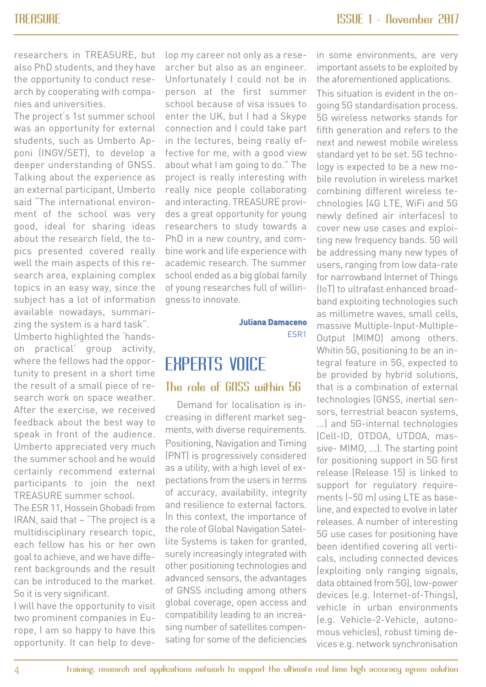<span id="page-3-0"></span>researchers in TREASURE, but also PhD students, and they have the opportunity to conduct research by cooperating with companies and universities.

The project's 1st summer school was an opportunity for external students, such as Umberto Apponi (INGV/SET), to develop a deeper understanding of GNSS. Talking about the experience as an external participant, Umberto said "The international environment of the school was very good, ideal for sharing ideas about the research field, the topics presented covered really well the main aspects of this research area, explaining complex topics in an easy way, since the subject has a lot of information available nowadays, summarizing the system is a hard task". Umberto highlighted the 'handson practical' group activity,

where the fellows had the opportunity to present in a short time the result of a small piece of research work on space weather. After the exercise, we received feedback about the best way to speak in front of the audience. Umberto appreciated very much the summer school and he would certainly recommend external participants to join the next TREASURE summer school.

The ESR 11, Hossein Ghobadi from IRAN, said that – "The project is a multidisciplinary research topic, each fellow has his or her own goal to achieve, and we have different backgrounds and the result can be introduced to the market. So it is very significant.

I will have the opportunity to visit two prominent companies in Europe, I am so happy to have this opportunity. It can help to develop my career not only as a researcher but also as an engineer. Unfortunately I could not be in person at the first summer school because of visa issues to enter the UK, but I had a Skype connection and I could take part in the lectures, being really effective for me, with a good view about what I am going to do." The project is really interesting with really nice people collaborating and interacting. TREASURE provides a great opportunity for young researchers to study towards a PhD in a new country, and combine work and life experience with academic research. The summer school ended as a big global family of young researches full of willingness to innovate.

> **Juliana Damaceno** ESR1

### EXPERTS VOICE The role of GNSS within 5G

Demand for localisation is increasing in different market segments, with diverse requirements. Positioning, Navigation and Timing (PNT) is progressively considered as a utility, with a high level of expectations from the users in terms of accuracy, availability, integrity and resilience to external factors. In this context, the importance of the role of Global Navigation Satellite Systems is taken for granted, surely increasingly integrated with other positioning technologies and advanced sensors, the advantages of GNSS including among others global coverage, open access and compatibility leading to an increasing number of satellites compensating for some of the deficiencies

in some environments, are very important assets to be exploited by the aforementioned applications.

This situation is evident in the ongoing 5G standardisation process. 5G wireless networks stands for fifth generation and refers to the next and newest mobile wireless standard yet to be set. 5G technology is expected to be a new mobile revolution in wireless market combining different wireless technologies (4G LTE, WiFi and 5G newly defined air interfaces) to cover new use cases and exploiting new frequency bands. 5G will be addressing many new types of users, ranging from low data-rate for narrowband Internet of Things (IoT) to ultrafast enhanced broadband exploiting technologies such as millimetre waves, small cells, massive Multiple-Input-Multiple-Output (MIMO) among others. Whitin 5G, positioning to be an integral feature in 5G, expected to be provided by hybrid solutions, that is a combination of external technologies (GNSS, inertial sensors, terrestrial beacon systems, ...) and 5G-internal technologies (Cell-ID, OTDOA, UTDOA, massive- MIMO, ...). The starting point for positioning support in 5G first release (Release 15) is linked to support for regulatory requirements (~50 m) using LTE as baseline, and expected to evolve in later releases. A number of interesting 5G use cases for positioning have been identified covering all verticals, including connected devices (exploiting only ranging signals, data obtained from 5G), low-power devices (e.g. Internet-of-Things), vehicle in urban environments (e.g. Vehicle-2-Vehicle, autonomous vehicles), robust timing devices e.g. network synchronisation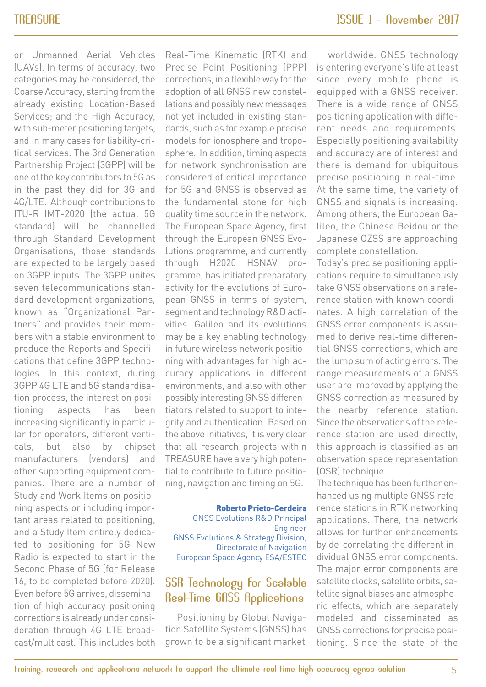<span id="page-4-0"></span>or Unmanned Aerial Vehicles (UAVs). In terms of accuracy, two categories may be considered, the Coarse Accuracy, starting from the already existing Location-Based Services; and the High Accuracy, with sub-meter positioning targets, and in many cases for liability-critical services. The 3rd Generation Partnership Project (3GPP) will be one of the key contributors to 5G as in the past they did for 3G and 4G/LTE. Although contributions to ITU-R IMT-2020 (the actual 5G standard) will be channelled through Standard Development Organisations, those standards are expected to be largely based on 3GPP inputs. The 3GPP unites seven telecommunications standard development organizations, known as "Organizational Partners" and provides their members with a stable environment to produce the Reports and Specifications that define 3GPP technologies. In this context, during 3GPP 4G LTE and 5G standardisation process, the interest on positioning aspects has been increasing significantly in particular for operators, different verticals, but also by chipset manufacturers (vendors) and other supporting equipment companies. There are a number of Study and Work Items on positioning aspects or including important areas related to positioning, and a Study Item entirely dedicated to positioning for 5G New Radio is expected to start in the Second Phase of 5G (for Release 16, to be completed before 2020). Even before 5G arrives, dissemination of high accuracy positioning corrections is already under consideration through 4G LTE broadcast/multicast. This includes both

Real-Time Kinematic (RTK) and Precise Point Positioning (PPP) corrections, in a flexible way for the adoption of all GNSS new constellations and possibly new messages not yet included in existing standards, such as for example precise models for ionosphere and troposphere. In addition, timing aspects for network synchronisation are considered of critical importance for 5G and GNSS is observed as the fundamental stone for high quality time source in the network. The European Space Agency, first through the European GNSS Evolutions programme, and currently through H2020 HSNAV programme, has initiated preparatory activity for the evolutions of European GNSS in terms of system, segment and technology R&D activities. Galileo and its evolutions may be a key enabling technology in future wireless network positioning with advantages for high accuracy applications in different environments, and also with other possibly interesting GNSS differentiators related to support to integrity and authentication. Based on the above initiatives, it is very clear that all research projects within TREASURE have a very high potential to contribute to future positioning, navigation and timing on 5G.

**Roberto Prieto-Cerdeira** GNSS Evolutions R&D Principal Engineer GNSS Evolutions & Strategy Division, Directorate of Navigation European Space Agency ESA/ESTEC

#### SSR Technology for Scalable Real-Time GNSS Applications

Positioning by Global Navigation Satellite Systems (GNSS) has grown to be a significant market

worldwide. GNSS technology is entering everyone's life at least since every mobile phone is equipped with a GNSS receiver. There is a wide range of GNSS positioning application with different needs and requirements. Especially positioning availability and accuracy are of interest and there is demand for ubiquitous precise positioning in real-time. At the same time, the variety of GNSS and signals is increasing. Among others, the European Galileo, the Chinese Beidou or the Japanese QZSS are approaching complete constellation.

Today's precise positioning applications require to simultaneously take GNSS observations on a reference station with known coordinates. A high correlation of the GNSS error components is assumed to derive real-time differential GNSS corrections, which are the lump sum of acting errors. The range measurements of a GNSS user are improved by applying the GNSS correction as measured by the nearby reference station. Since the observations of the reference station are used directly, this approach is classified as an observation space representation (OSR) technique.

The technique has been further enhanced using multiple GNSS reference stations in RTK networking applications. There, the network allows for further enhancements by de-correlating the different individual GNSS error components. The major error components are satellite clocks, satellite orbits, satellite signal biases and atmospheric effects, which are separately modeled and disseminated as GNSS corrections for precise positioning. Since the state of the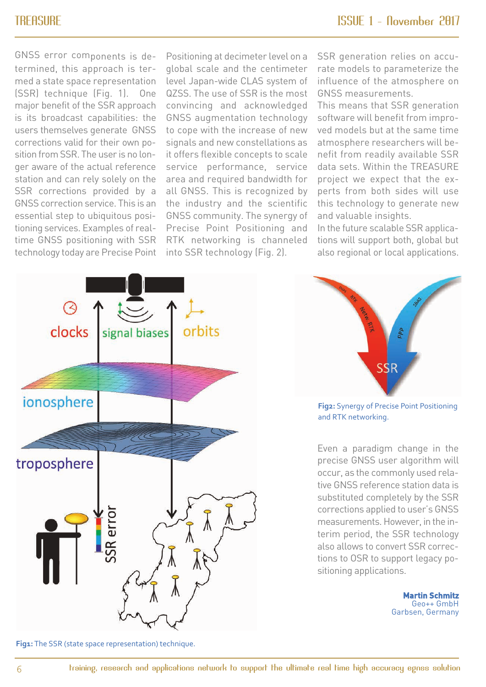GNSS error components is determined, this approach is termed a state space representation (SSR) technique (Fig. 1). One major benefit of the SSR approach is its broadcast capabilities: the users themselves generate GNSS corrections valid for their own position from SSR. The user is no longer aware of the actual reference station and can rely solely on the SSR corrections provided by a GNSS correction service. This is an essential step to ubiquitous positioning services. Examples of realtime GNSS positioning with SSR technology today are Precise Point

Positioning at decimeter level on a global scale and the centimeter level Japan-wide CLAS system of QZSS. The use of SSR is the most convincing and acknowledged GNSS augmentation technology to cope with the increase of new signals and new constellations as it offers flexible concepts to scale service performance, service area and required bandwidth for all GNSS. This is recognized by the industry and the scientific GNSS community. The synergy of Precise Point Positioning and RTK networking is channeled into SSR technology (Fig. 2).

SSR generation relies on accurate models to parameterize the influence of the atmosphere on GNSS measurements.

This means that SSR generation software will benefit from improved models but at the same time atmosphere researchers will benefit from readily available SSR data sets. Within the TREASURE project we expect that the experts from both sides will use this technology to generate new and valuable insights.

In the future scalable SSR applications will support both, global but also regional or local applications.





**Fig2:** Synergy of Precise Point Positioning and RTK networking.

Even a paradigm change in the precise GNSS user algorithm will occur, as the commonly used relative GNSS reference station data is substituted completely by the SSR corrections applied to user's GNSS measurements. However, in the interim period, the SSR technology also allows to convert SSR corrections to OSR to support legacy positioning applications.

> **Martin Schmitz** Geo++ GmbH Garbsen, Germany

Fig1: The SSR (state space representation) technique.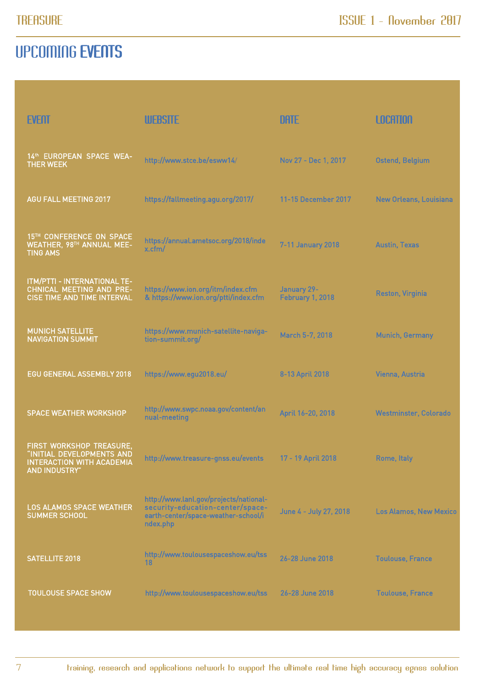### UPCOMING EVENTS

| <b>EVENT</b>                                                                                                      | <b>WEBSITE</b>                                                                                                                | <b>DATE</b>                     | <b>LOCATION</b>               |
|-------------------------------------------------------------------------------------------------------------------|-------------------------------------------------------------------------------------------------------------------------------|---------------------------------|-------------------------------|
| 14th EUROPEAN SPACE WEA-<br><b>THER WEEK</b>                                                                      | http://www.stce.be/esww14/                                                                                                    | Nov 27 - Dec 1, 2017            | <b>Ostend, Belgium</b>        |
| <b>AGU FALL MEETING 2017</b>                                                                                      | https://fallmeeting.agu.org/2017/                                                                                             | 11-15 December 2017             | New Orleans, Louisiana        |
| 15TH CONFERENCE ON SPACE<br><b>WEATHER, 98TH ANNUAL MEE-</b><br><b>TING AMS</b>                                   | https://annual.ametsoc.org/2018/inde<br>x.cfm/                                                                                | 7-11 January 2018               | <b>Austin, Texas</b>          |
| ITM/PTTI - INTERNATIONAL TE-<br><b>CHNICAL MEETING AND PRE-</b><br>CISE TIME AND TIME INTERVAL                    | https://www.ion.org/itm/index.cfm<br>& https://www.ion.org/ptti/index.cfm                                                     | January 29-<br>February 1, 2018 | <b>Reston, Virginia</b>       |
| <b>MUNICH SATELLITE</b><br><b>NAVIGATION SUMMIT</b>                                                               | https://www.munich-satellite-naviga-<br>tion-summit.org/                                                                      | March 5-7, 2018                 | <b>Munich, Germany</b>        |
| EGU GENERAL ASSEMBLY 2018                                                                                         | https://www.egu2018.eu/                                                                                                       | 8-13 April 2018                 | Vienna, Austria               |
| <b>SPACE WEATHER WORKSHOP</b>                                                                                     | http://www.swpc.noaa.gov/content/an<br>nual-meeting                                                                           | April 16-20, 2018               | <b>Westminster, Colorado</b>  |
| FIRST WORKSHOP TREASURE,<br>"INITIAL DEVELOPMENTS AND<br><b>INTERACTION WITH ACADEMIA</b><br><b>AND INDUSTRY"</b> | http://www.treasure-gnss.eu/events                                                                                            | 17 - 19 April 2018              | Rome, Italy                   |
| LOS ALAMOS SPACE WEATHER<br><b>SUMMER SCHOOL</b>                                                                  | http://www.lanl.gov/projects/national-<br>security-education-center/space-<br>earth-center/space-weather-school/i<br>ndex.php | June 4 - July 27, 2018          | <b>Los Alamos, New Mexico</b> |
| <b>SATELLITE 2018</b>                                                                                             | http://www.toulousespaceshow.eu/tss<br>18                                                                                     | 26-28 June 2018                 | <b>Toulouse, France</b>       |
| <b>TOULOUSE SPACE SHOW</b>                                                                                        | http://www.toulousespaceshow.eu/tss                                                                                           | 26-28 June 2018                 | <b>Toulouse, France</b>       |